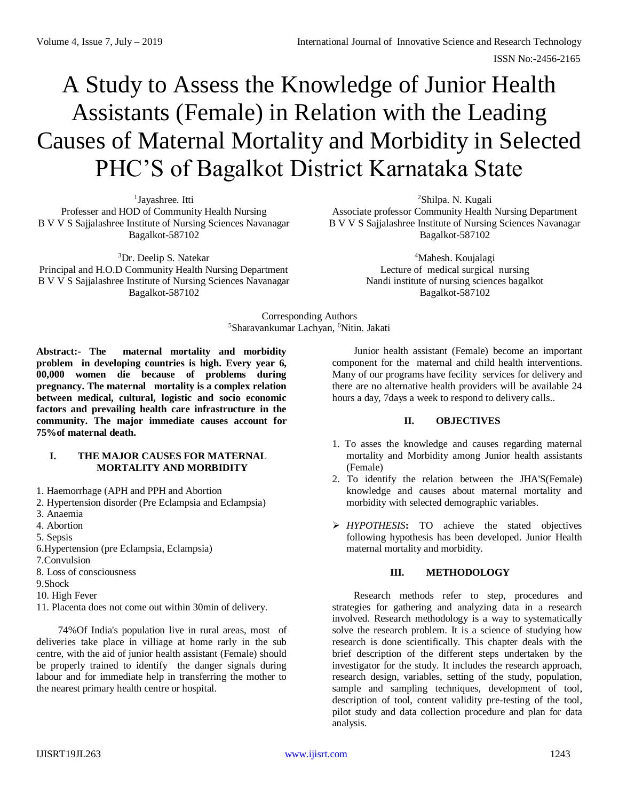ISSN No:-2456-2165

# A Study to Assess the Knowledge of Junior Health Assistants (Female) in Relation with the Leading Causes of Maternal Mortality and Morbidity in Selected PHC'S of Bagalkot District Karnataka State

<sup>1</sup>Jayashree. Itti Professer and HOD of Community Health Nursing B V V S Sajjalashree Institute of Nursing Sciences Navanagar Bagalkot-587102

<sup>3</sup>Dr. Deelip S. Natekar Principal and H.O.D Community Health Nursing Department B V V S Sajjalashree Institute of Nursing Sciences Navanagar Bagalkot-587102

<sup>2</sup>Shilpa. N. Kugali Associate professor Community Health Nursing Department B V V S Sajjalashree Institute of Nursing Sciences Navanagar Bagalkot-587102

> <sup>4</sup>Mahesh. Koujalagi Lecture of medical surgical nursing Nandi institute of nursing sciences bagalkot Bagalkot-587102

Corresponding Authors <sup>5</sup>Sharavankumar Lachyan, <sup>6</sup>Nitin. Jakati

**Abstract:- The maternal mortality and morbidity problem in developing countries is high. Every year 6, 00,000 women die because of problems during pregnancy. The maternal mortality is a complex relation between medical, cultural, logistic and socio economic factors and prevailing health care infrastructure in the community. The major immediate causes account for 75%of maternal death.**

#### **I. THE MAJOR CAUSES FOR MATERNAL MORTALITY AND MORBIDITY**

- 1. Haemorrhage (APH and PPH and Abortion
- 2. Hypertension disorder (Pre Eclampsia and Eclampsia)
- 3. Anaemia
- 4. Abortion
- 5. Sepsis
- 6.Hypertension (pre Eclampsia, Eclampsia)
- 7.Convulsion
- 8. Loss of consciousness
- 9.Shock
- 10. High Fever
- 11. Placenta does not come out within 30min of delivery.

74%Of India's population live in rural areas, most of deliveries take place in villiage at home rarly in the sub centre, with the aid of junior health assistant (Female) should be properly trained to identify the danger signals during labour and for immediate help in transferring the mother to the nearest primary health centre or hospital.

Junior health assistant (Female) become an important component for the maternal and child health interventions. Many of our programs have fecility services for delivery and there are no alternative health providers will be available 24 hours a day, 7days a week to respond to delivery calls..

#### **II. OBJECTIVES**

- 1. To asses the knowledge and causes regarding maternal mortality and Morbidity among Junior health assistants (Female)
- 2. To identify the relation between the JHA'S(Female) knowledge and causes about maternal mortality and morbidity with selected demographic variables.
- *HYPOTHESIS***:** TO achieve the stated objectives following hypothesis has been developed. Junior Health maternal mortality and morbidity.

## **III. METHODOLOGY**

Research methods refer to step, procedures and strategies for gathering and analyzing data in a research involved. Research methodology is a way to systematically solve the research problem. It is a science of studying how research is done scientifically. This chapter deals with the brief description of the different steps undertaken by the investigator for the study. It includes the research approach, research design, variables, setting of the study, population, sample and sampling techniques, development of tool, description of tool, content validity pre-testing of the tool, pilot study and data collection procedure and plan for data analysis.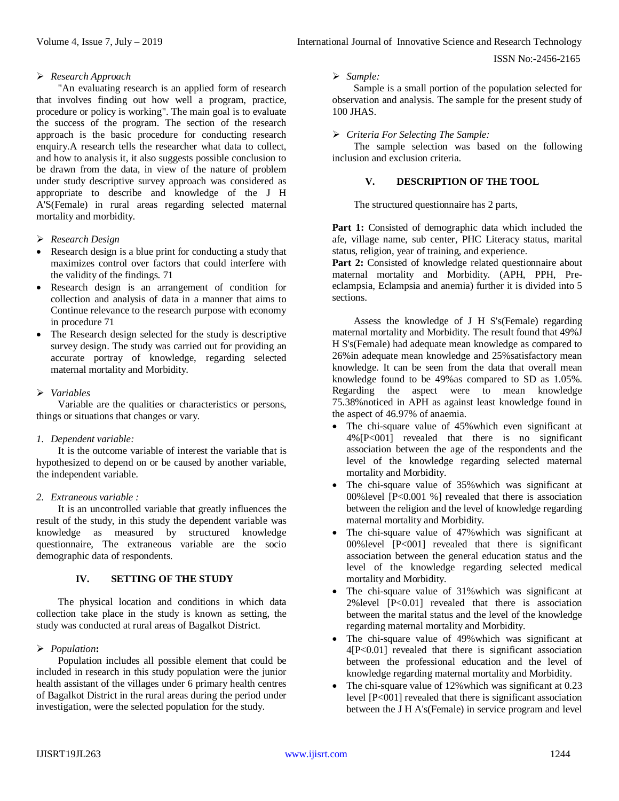ISSN No:-2456-2165

# *Research Approach*

"An evaluating research is an applied form of research that involves finding out how well a program, practice, procedure or policy is working". The main goal is to evaluate the success of the program. The section of the research approach is the basic procedure for conducting research enquiry.A research tells the researcher what data to collect, and how to analysis it, it also suggests possible conclusion to be drawn from the data, in view of the nature of problem under study descriptive survey approach was considered as appropriate to describe and knowledge of the J H A'S(Female) in rural areas regarding selected maternal mortality and morbidity.

## *Research Design*

- Research design is a blue print for conducting a study that maximizes control over factors that could interfere with the validity of the findings. 71
- Research design is an arrangement of condition for collection and analysis of data in a manner that aims to Continue relevance to the research purpose with economy in procedure 71
- The Research design selected for the study is descriptive survey design. The study was carried out for providing an accurate portray of knowledge, regarding selected maternal mortality and Morbidity.

## *Variables*

Variable are the qualities or characteristics or persons, things or situations that changes or vary.

## *1. Dependent variable:*

It is the outcome variable of interest the variable that is hypothesized to depend on or be caused by another variable, the independent variable.

#### *2. Extraneous variable :*

It is an uncontrolled variable that greatly influences the result of the study, in this study the dependent variable was knowledge as measured by structured knowledge questionnaire, The extraneous variable are the socio demographic data of respondents.

## **IV. SETTING OF THE STUDY**

The physical location and conditions in which data collection take place in the study is known as setting, the study was conducted at rural areas of Bagalkot District.

## *Population***:**

Population includes all possible element that could be included in research in this study population were the junior health assistant of the villages under 6 primary health centres of Bagalkot District in the rural areas during the period under investigation, were the selected population for the study.

#### *Sample:*

Sample is a small portion of the population selected for observation and analysis. The sample for the present study of 100 JHAS.

#### *Criteria For Selecting The Sample:*

The sample selection was based on the following inclusion and exclusion criteria.

## **V. DESCRIPTION OF THE TOOL**

The structured questionnaire has 2 parts,

Part 1: Consisted of demographic data which included the afe, village name, sub center, PHC Literacy status, marital status, religion, year of training, and experience.

Part 2: Consisted of knowledge related questionnaire about maternal mortality and Morbidity. (APH, PPH, Preeclampsia, Eclampsia and anemia) further it is divided into 5 sections.

Assess the knowledge of J H S's(Female) regarding maternal mortality and Morbidity. The result found that 49%J H S's(Female) had adequate mean knowledge as compared to 26%in adequate mean knowledge and 25%satisfactory mean knowledge. It can be seen from the data that overall mean knowledge found to be 49%as compared to SD as 1.05%. Regarding the aspect were to mean knowledge 75.38%noticed in APH as against least knowledge found in the aspect of 46.97% of anaemia.

- The chi-square value of 45% which even significant at 4%[P<001] revealed that there is no significant association between the age of the respondents and the level of the knowledge regarding selected maternal mortality and Morbidity.
- The chi-square value of 35% which was significant at 00%level [P<0.001 %] revealed that there is association between the religion and the level of knowledge regarding maternal mortality and Morbidity.
- The chi-square value of 47%which was significant at 00%level [P<001] revealed that there is significant association between the general education status and the level of the knowledge regarding selected medical mortality and Morbidity.
- The chi-square value of 31% which was significant at 2%level [P<0.01] revealed that there is association between the marital status and the level of the knowledge regarding maternal mortality and Morbidity.
- The chi-square value of 49%which was significant at 4[P<0.01] revealed that there is significant association between the professional education and the level of knowledge regarding maternal mortality and Morbidity.
- The chi-square value of 12%which was significant at 0.23 level [P<001] revealed that there is significant association between the J H A's(Female) in service program and level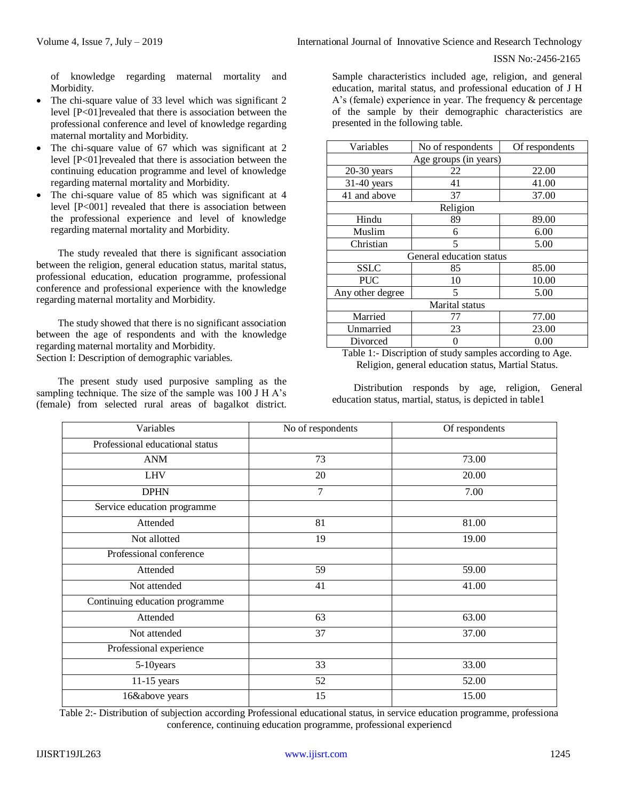of knowledge regarding maternal mortality and Morbidity.

- The chi-square value of 33 level which was significant 2 level [P<01]revealed that there is association between the professional conference and level of knowledge regarding maternal mortality and Morbidity.
- The chi-square value of 67 which was significant at 2 level [P<01]revealed that there is association between the continuing education programme and level of knowledge regarding maternal mortality and Morbidity.
- The chi-square value of 85 which was significant at 4 level [P<001] revealed that there is association between the professional experience and level of knowledge regarding maternal mortality and Morbidity.

The study revealed that there is significant association between the religion, general education status, marital status, professional education, education programme, professional conference and professional experience with the knowledge regarding maternal mortality and Morbidity.

The study showed that there is no significant association between the age of respondents and with the knowledge regarding maternal mortality and Morbidity. Section I: Description of demographic variables.

The present study used purposive sampling as the sampling technique. The size of the sample was 100 J H A's (female) from selected rural areas of bagalkot district. Sample characteristics included age, religion, and general education, marital status, and professional education of J H A's (female) experience in year. The frequency & percentage of the sample by their demographic characteristics are presented in the following table.

| Variables                | No of respondents | Of respondents |  |  |  |  |  |  |  |
|--------------------------|-------------------|----------------|--|--|--|--|--|--|--|
| Age groups (in years)    |                   |                |  |  |  |  |  |  |  |
| $20-30$ years            | 22                | 22.00          |  |  |  |  |  |  |  |
| $31-40$ years            | 41                | 41.00          |  |  |  |  |  |  |  |
| 41 and above             | 37                | 37.00          |  |  |  |  |  |  |  |
| Religion                 |                   |                |  |  |  |  |  |  |  |
| Hindu                    | 89                | 89.00          |  |  |  |  |  |  |  |
| Muslim                   | 6                 | 6.00           |  |  |  |  |  |  |  |
| Christian                | 5                 | 5.00           |  |  |  |  |  |  |  |
| General education status |                   |                |  |  |  |  |  |  |  |
| <b>SSLC</b>              | 85                | 85.00          |  |  |  |  |  |  |  |
| <b>PUC</b>               | 10                | 10.00          |  |  |  |  |  |  |  |
| Any other degree         | 5                 | 5.00           |  |  |  |  |  |  |  |
| Marital status           |                   |                |  |  |  |  |  |  |  |
| Married                  | 77                | 77.00          |  |  |  |  |  |  |  |
| Unmarried                | 23                | 23.00          |  |  |  |  |  |  |  |
| Divorced                 |                   | 0.00           |  |  |  |  |  |  |  |

Table 1:- Discription of study samples according to Age. Religion, general education status, Martial Status.

Distribution responds by age, religion, General education status, martial, status, is depicted in table1

| Variables                       | No of respondents | Of respondents |  |  |
|---------------------------------|-------------------|----------------|--|--|
| Professional educational status |                   |                |  |  |
| ANM                             | 73                | 73.00          |  |  |
| <b>LHV</b>                      | 20                | 20.00          |  |  |
| <b>DPHN</b>                     | 7                 | 7.00           |  |  |
| Service education programme     |                   |                |  |  |
| Attended                        | 81                | 81.00          |  |  |
| Not allotted                    | 19                | 19.00          |  |  |
| Professional conference         |                   |                |  |  |
| Attended                        | 59                | 59.00          |  |  |
| Not attended                    | 41                | 41.00          |  |  |
| Continuing education programme  |                   |                |  |  |
| Attended                        | 63                | 63.00          |  |  |
| Not attended                    | 37                | 37.00          |  |  |
| Professional experience         |                   |                |  |  |
| 5-10years                       | 33                | 33.00          |  |  |
| $11-15$ years                   | 52                | 52.00          |  |  |
| 16&above years                  | 15                | 15.00          |  |  |

Table 2:- Distribution of subjection according Professional educational status, in service education programme, professiona conference, continuing education programme, professional experiencd